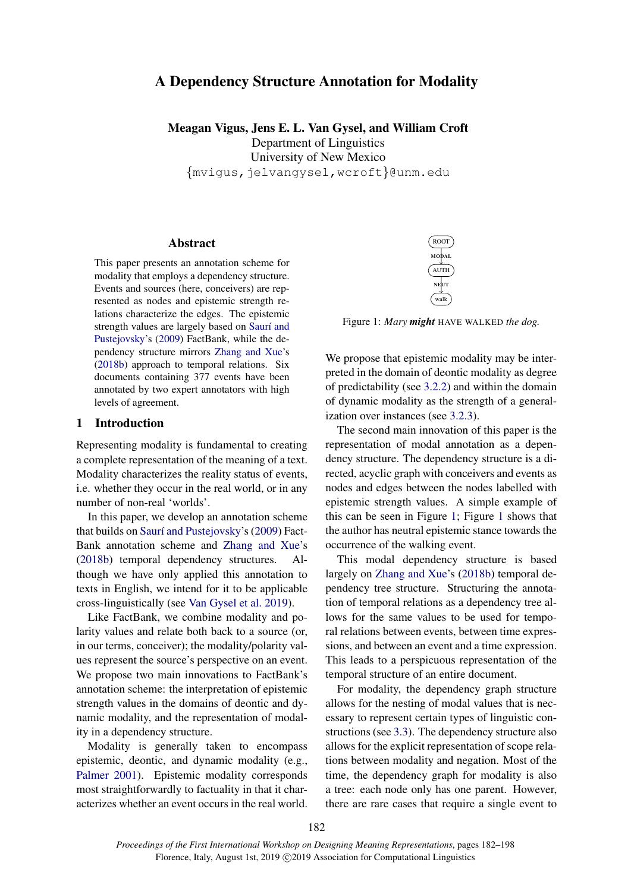# A Dependency Structure Annotation for Modality

Meagan Vigus, Jens E. L. Van Gysel, and William Croft Department of Linguistics University of New Mexico *{*mvigus,jelvangysel,wcroft*}*@unm.edu

## Abstract

This paper presents an annotation scheme for modality that employs a dependency structure. Events and sources (here, conceivers) are represented as nodes and epistemic strength relations characterize the edges. The epistemic strength values are largely based on Saurí and [Pustejovsky'](#page-10-0)s [\(2009\)](#page-10-0) FactBank, while the dependency structure mirrors [Zhang and Xue'](#page-10-1)s [\(2018b\)](#page-10-1) approach to temporal relations. Six documents containing 377 events have been annotated by two expert annotators with high levels of agreement.

### <span id="page-0-1"></span>1 Introduction

Representing modality is fundamental to creating a complete representation of the meaning of a text. Modality characterizes the reality status of events, i.e. whether they occur in the real world, or in any number of non-real 'worlds'.

In this paper, we develop an annotation scheme that builds on Saurí and Pustejovsky's [\(2009\)](#page-10-0) Fact-Bank annotation scheme and [Zhang and Xue'](#page-10-1)s [\(2018b\)](#page-10-1) temporal dependency structures. Although we have only applied this annotation to texts in English, we intend for it to be applicable cross-linguistically (see [Van Gysel et al.](#page-10-2) [2019\)](#page-10-2).

Like FactBank, we combine modality and polarity values and relate both back to a source (or, in our terms, conceiver); the modality/polarity values represent the source's perspective on an event. We propose two main innovations to FactBank's annotation scheme: the interpretation of epistemic strength values in the domains of deontic and dynamic modality, and the representation of modality in a dependency structure.

Modality is generally taken to encompass epistemic, deontic, and dynamic modality (e.g., [Palmer](#page-9-0) [2001\)](#page-9-0). Epistemic modality corresponds most straightforwardly to factuality in that it characterizes whether an event occurs in the real world.



<span id="page-0-0"></span>Figure 1: *Mary might* HAVE WALKED *the dog.*

We propose that epistemic modality may be interpreted in the domain of deontic modality as degree of predictability (see [3.2.2\)](#page-4-0) and within the domain of dynamic modality as the strength of a generalization over instances (see [3.2.3\)](#page-5-0).

The second main innovation of this paper is the representation of modal annotation as a dependency structure. The dependency structure is a directed, acyclic graph with conceivers and events as nodes and edges between the nodes labelled with epistemic strength values. A simple example of this can be seen in Figure [1;](#page-0-0) Figure [1](#page-0-0) shows that the author has neutral epistemic stance towards the occurrence of the walking event.

This modal dependency structure is based largely on [Zhang and Xue'](#page-10-1)s [\(2018b\)](#page-10-1) temporal dependency tree structure. Structuring the annotation of temporal relations as a dependency tree allows for the same values to be used for temporal relations between events, between time expressions, and between an event and a time expression. This leads to a perspicuous representation of the temporal structure of an entire document.

For modality, the dependency graph structure allows for the nesting of modal values that is necessary to represent certain types of linguistic constructions (see [3.3\)](#page-5-1). The dependency structure also allows for the explicit representation of scope relations between modality and negation. Most of the time, the dependency graph for modality is also a tree: each node only has one parent. However, there are rare cases that require a single event to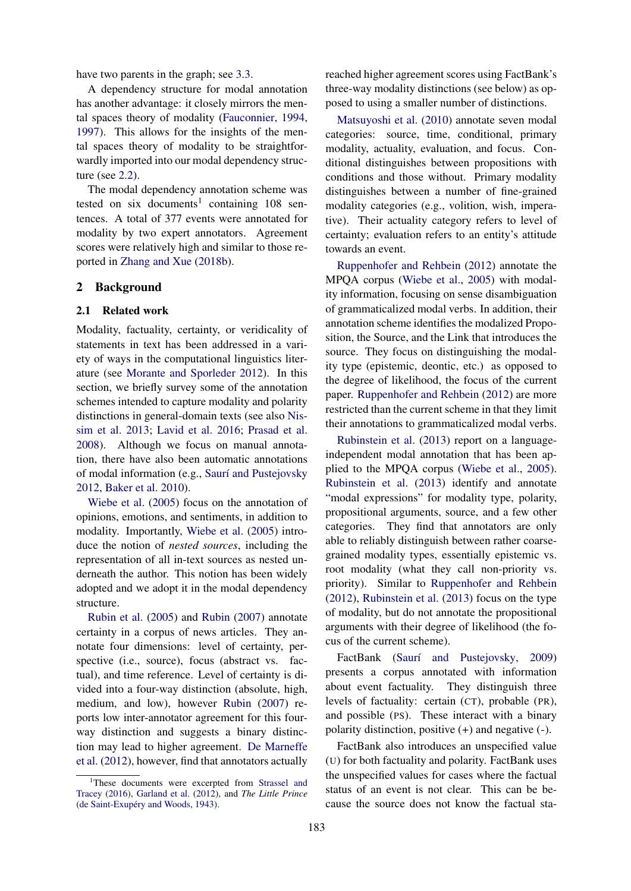have two parents in the graph; see [3.3.](#page-5-1)

A dependency structure for modal annotation has another advantage: it closely mirrors the mental spaces theory of modality [\(Fauconnier,](#page-9-1) [1994,](#page-9-1) [1997\)](#page-9-2). This allows for the insights of the mental spaces theory of modality to be straightforwardly imported into our modal dependency structure (see [2.2\)](#page-2-0).

The modal dependency annotation scheme was tested on six documents<sup>1</sup> containing 108 sentences. A total of 377 events were annotated for modality by two expert annotators. Agreement scores were relatively high and similar to those reported in [Zhang and Xue](#page-10-1) [\(2018b\)](#page-10-1).

### 2 Background

#### 2.1 Related work

Modality, factuality, certainty, or veridicality of statements in text has been addressed in a variety of ways in the computational linguistics literature (see [Morante and Sporleder](#page-9-3) [2012\)](#page-9-3). In this section, we briefly survey some of the annotation schemes intended to capture modality and polarity distinctions in general-domain texts (see also [Nis](#page-9-4)[sim et al.](#page-9-4) [2013;](#page-9-4) [Lavid et al.](#page-9-5) [2016;](#page-9-5) [Prasad et al.](#page-9-6) [2008\)](#page-9-6). Although we focus on manual annotation, there have also been automatic annotations of modal information (e.g., Saurí and Pustejovsky [2012,](#page-10-3) [Baker et al.](#page-9-7) [2010\)](#page-9-7).

[Wiebe et al.](#page-10-4) [\(2005\)](#page-10-4) focus on the annotation of opinions, emotions, and sentiments, in addition to modality. Importantly, [Wiebe et al.](#page-10-4) [\(2005\)](#page-10-4) introduce the notion of *nested sources*, including the representation of all in-text sources as nested underneath the author. This notion has been widely adopted and we adopt it in the modal dependency structure.

[Rubin et al.](#page-9-8) [\(2005\)](#page-9-8) and [Rubin](#page-9-9) [\(2007\)](#page-9-9) annotate certainty in a corpus of news articles. They annotate four dimensions: level of certainty, perspective (i.e., source), focus (abstract vs. factual), and time reference. Level of certainty is divided into a four-way distinction (absolute, high, medium, and low), however [Rubin](#page-9-9) [\(2007\)](#page-9-9) reports low inter-annotator agreement for this fourway distinction and suggests a binary distinction may lead to higher agreement. [De Marneffe](#page-9-10) [et al.](#page-9-10) [\(2012\)](#page-9-10), however, find that annotators actually reached higher agreement scores using FactBank's three-way modality distinctions (see below) as opposed to using a smaller number of distinctions.

[Matsuyoshi et al.](#page-9-12) [\(2010\)](#page-9-12) annotate seven modal categories: source, time, conditional, primary modality, actuality, evaluation, and focus. Conditional distinguishes between propositions with conditions and those without. Primary modality distinguishes between a number of fine-grained modality categories (e.g., volition, wish, imperative). Their actuality category refers to level of certainty; evaluation refers to an entity's attitude towards an event.

[Ruppenhofer and Rehbein](#page-9-13) [\(2012\)](#page-9-13) annotate the MPQA corpus [\(Wiebe et al.,](#page-10-4) [2005\)](#page-10-4) with modality information, focusing on sense disambiguation of grammaticalized modal verbs. In addition, their annotation scheme identifies the modalized Proposition, the Source, and the Link that introduces the source. They focus on distinguishing the modality type (epistemic, deontic, etc.) as opposed to the degree of likelihood, the focus of the current paper. [Ruppenhofer and Rehbein](#page-9-13) [\(2012\)](#page-9-13) are more restricted than the current scheme in that they limit their annotations to grammaticalized modal verbs.

[Rubinstein et al.](#page-9-14) [\(2013\)](#page-9-14) report on a languageindependent modal annotation that has been applied to the MPQA corpus [\(Wiebe et al.,](#page-10-4) [2005\)](#page-10-4). [Rubinstein et al.](#page-9-14) [\(2013\)](#page-9-14) identify and annotate "modal expressions" for modality type, polarity, propositional arguments, source, and a few other categories. They find that annotators are only able to reliably distinguish between rather coarsegrained modality types, essentially epistemic vs. root modality (what they call non-priority vs. priority). Similar to [Ruppenhofer and Rehbein](#page-9-13) [\(2012\)](#page-9-13), [Rubinstein et al.](#page-9-14) [\(2013\)](#page-9-14) focus on the type of modality, but do not annotate the propositional arguments with their degree of likelihood (the focus of the current scheme).

FactBank (Saurí and Pustejovsky, [2009\)](#page-10-0) presents a corpus annotated with information about event factuality. They distinguish three levels of factuality: certain (CT), probable (PR), and possible (PS). These interact with a binary polarity distinction, positive (+) and negative (-).

FactBank also introduces an unspecified value (U) for both factuality and polarity. FactBank uses the unspecified values for cases where the factual status of an event is not clear. This can be because the source does not know the factual sta-

<span id="page-1-0"></span><sup>&</sup>lt;sup>1</sup>These documents were excerpted from [Strassel and](#page-10-5) [Tracey](#page-10-5) [\(2016\)](#page-10-5), [Garland et al.](#page-9-11) [\(2012\)](#page-9-11), and *The Little Prince* (de Saint-Exupéry and Woods, [1943\)](#page-10-6).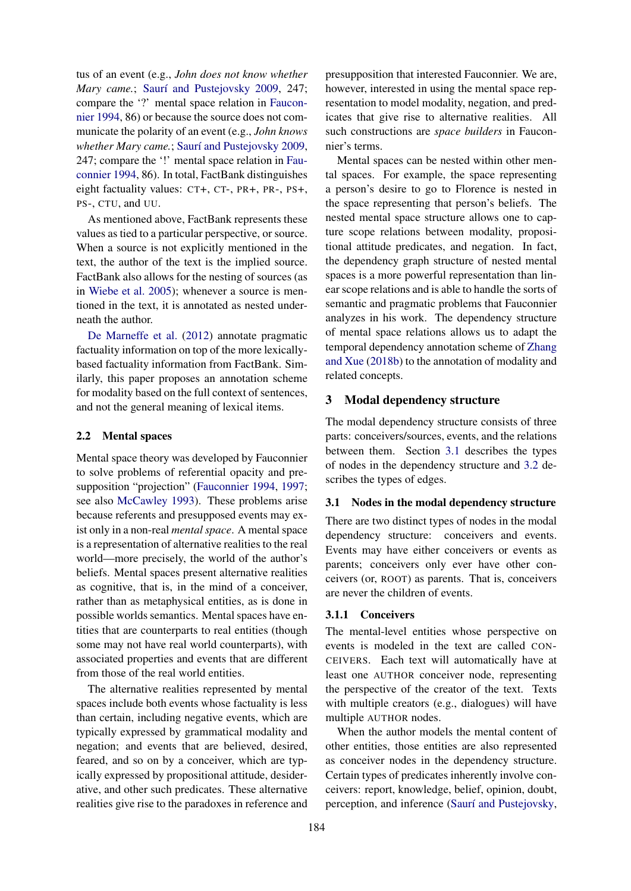tus of an event (e.g., *John does not know whether Mary came.*: Saurí and Pustejovsky [2009,](#page-10-0) 247; compare the '?' mental space relation in [Faucon](#page-9-1)[nier](#page-9-1) [1994,](#page-9-1) 86) or because the source does not communicate the polarity of an event (e.g., *John knows whether Mary came.*; Saurí and Pustejovsky [2009,](#page-10-0) 247; compare the '!' mental space relation in [Fau](#page-9-1)[connier](#page-9-1) [1994,](#page-9-1) 86). In total, FactBank distinguishes eight factuality values: CT+, CT-, PR+, PR-, PS+, PS-, CTU, and UU.

As mentioned above, FactBank represents these values as tied to a particular perspective, or source. When a source is not explicitly mentioned in the text, the author of the text is the implied source. FactBank also allows for the nesting of sources (as in [Wiebe et al.](#page-10-4) [2005\)](#page-10-4); whenever a source is mentioned in the text, it is annotated as nested underneath the author.

[De Marneffe et al.](#page-9-10) [\(2012\)](#page-9-10) annotate pragmatic factuality information on top of the more lexicallybased factuality information from FactBank. Similarly, this paper proposes an annotation scheme for modality based on the full context of sentences, and not the general meaning of lexical items.

### <span id="page-2-0"></span>2.2 Mental spaces

Mental space theory was developed by Fauconnier to solve problems of referential opacity and presupposition "projection" [\(Fauconnier](#page-9-1) [1994,](#page-9-1) [1997;](#page-9-2) see also [McCawley](#page-9-15) [1993\)](#page-9-15). These problems arise because referents and presupposed events may exist only in a non-real *mental space*. A mental space is a representation of alternative realities to the real world—more precisely, the world of the author's beliefs. Mental spaces present alternative realities as cognitive, that is, in the mind of a conceiver, rather than as metaphysical entities, as is done in possible worlds semantics. Mental spaces have entities that are counterparts to real entities (though some may not have real world counterparts), with associated properties and events that are different from those of the real world entities.

The alternative realities represented by mental spaces include both events whose factuality is less than certain, including negative events, which are typically expressed by grammatical modality and negation; and events that are believed, desired, feared, and so on by a conceiver, which are typically expressed by propositional attitude, desiderative, and other such predicates. These alternative realities give rise to the paradoxes in reference and

presupposition that interested Fauconnier. We are, however, interested in using the mental space representation to model modality, negation, and predicates that give rise to alternative realities. All such constructions are *space builders* in Fauconnier's terms.

Mental spaces can be nested within other mental spaces. For example, the space representing a person's desire to go to Florence is nested in the space representing that person's beliefs. The nested mental space structure allows one to capture scope relations between modality, propositional attitude predicates, and negation. In fact, the dependency graph structure of nested mental spaces is a more powerful representation than linear scope relations and is able to handle the sorts of semantic and pragmatic problems that Fauconnier analyzes in his work. The dependency structure of mental space relations allows us to adapt the temporal dependency annotation scheme of [Zhang](#page-10-1) [and Xue](#page-10-1) [\(2018b\)](#page-10-1) to the annotation of modality and related concepts.

### <span id="page-2-2"></span>3 Modal dependency structure

The modal dependency structure consists of three parts: conceivers/sources, events, and the relations between them. Section [3.1](#page-2-1) describes the types of nodes in the dependency structure and [3.2](#page-3-0) describes the types of edges.

# <span id="page-2-1"></span>3.1 Nodes in the modal dependency structure

There are two distinct types of nodes in the modal dependency structure: conceivers and events. Events may have either conceivers or events as parents; conceivers only ever have other conceivers (or, ROOT) as parents. That is, conceivers are never the children of events.

#### 3.1.1 Conceivers

The mental-level entities whose perspective on events is modeled in the text are called CON-CEIVERS. Each text will automatically have at least one AUTHOR conceiver node, representing the perspective of the creator of the text. Texts with multiple creators (e.g., dialogues) will have multiple AUTHOR nodes.

When the author models the mental content of other entities, those entities are also represented as conceiver nodes in the dependency structure. Certain types of predicates inherently involve conceivers: report, knowledge, belief, opinion, doubt, perception, and inference (Saurí and Pustejovsky,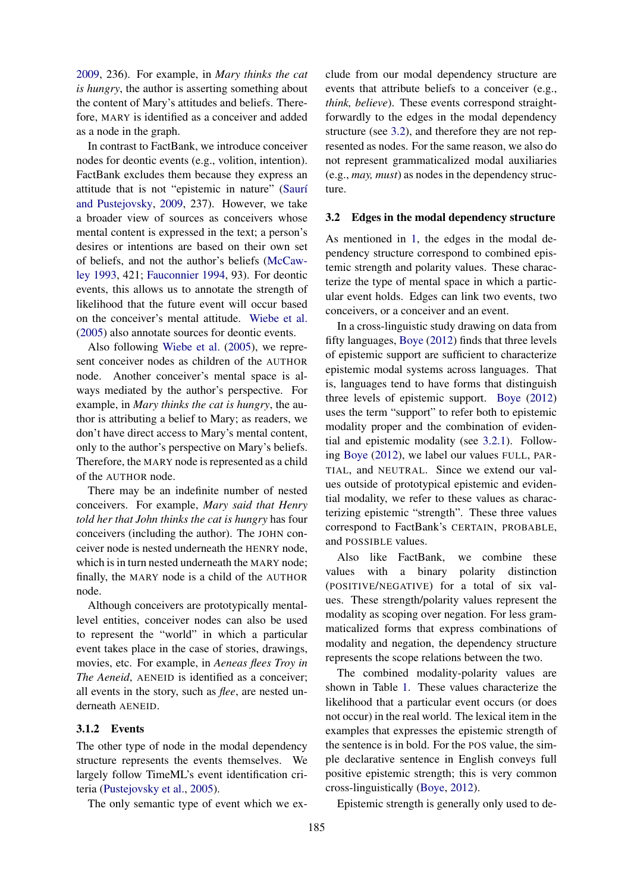[2009,](#page-10-0) 236). For example, in *Mary thinks the cat is hungry*, the author is asserting something about the content of Mary's attitudes and beliefs. Therefore, MARY is identified as a conceiver and added as a node in the graph.

In contrast to FactBank, we introduce conceiver nodes for deontic events (e.g., volition, intention). FactBank excludes them because they express an attitude that is not "epistemic in nature" (Saurí [and Pustejovsky,](#page-10-0) [2009,](#page-10-0) 237). However, we take a broader view of sources as conceivers whose mental content is expressed in the text; a person's desires or intentions are based on their own set of beliefs, and not the author's beliefs [\(McCaw](#page-9-15)[ley](#page-9-15) [1993,](#page-9-15) 421; [Fauconnier](#page-9-1) [1994,](#page-9-1) 93). For deontic events, this allows us to annotate the strength of likelihood that the future event will occur based on the conceiver's mental attitude. [Wiebe et al.](#page-10-4) [\(2005\)](#page-10-4) also annotate sources for deontic events.

Also following [Wiebe et al.](#page-10-4) [\(2005\)](#page-10-4), we represent conceiver nodes as children of the AUTHOR node. Another conceiver's mental space is always mediated by the author's perspective. For example, in *Mary thinks the cat is hungry*, the author is attributing a belief to Mary; as readers, we don't have direct access to Mary's mental content, only to the author's perspective on Mary's beliefs. Therefore, the MARY node is represented as a child of the AUTHOR node.

There may be an indefinite number of nested conceivers. For example, *Mary said that Henry told her that John thinks the cat is hungry* has four conceivers (including the author). The JOHN conceiver node is nested underneath the HENRY node, which is in turn nested underneath the MARY node; finally, the MARY node is a child of the AUTHOR node.

Although conceivers are prototypically mentallevel entities, conceiver nodes can also be used to represent the "world" in which a particular event takes place in the case of stories, drawings, movies, etc. For example, in *Aeneas flees Troy in The Aeneid*, AENEID is identified as a conceiver; all events in the story, such as *flee*, are nested underneath AENEID.

# 3.1.2 Events

The other type of node in the modal dependency structure represents the events themselves. We largely follow TimeML's event identification criteria [\(Pustejovsky et al.,](#page-9-16) [2005\)](#page-9-16).

The only semantic type of event which we ex-

clude from our modal dependency structure are events that attribute beliefs to a conceiver (e.g., *think, believe*). These events correspond straightforwardly to the edges in the modal dependency structure (see [3.2\)](#page-3-0), and therefore they are not represented as nodes. For the same reason, we also do not represent grammaticalized modal auxiliaries (e.g., *may, must*) as nodes in the dependency structure.

## <span id="page-3-0"></span>3.2 Edges in the modal dependency structure

As mentioned in [1,](#page-0-1) the edges in the modal dependency structure correspond to combined epistemic strength and polarity values. These characterize the type of mental space in which a particular event holds. Edges can link two events, two conceivers, or a conceiver and an event.

In a cross-linguistic study drawing on data from fifty languages, [Boye](#page-9-17) [\(2012\)](#page-9-17) finds that three levels of epistemic support are sufficient to characterize epistemic modal systems across languages. That is, languages tend to have forms that distinguish three levels of epistemic support. [Boye](#page-9-17) [\(2012\)](#page-9-17) uses the term "support" to refer both to epistemic modality proper and the combination of evidential and epistemic modality (see [3.2.1\)](#page-4-1). Following [Boye](#page-9-17) [\(2012\)](#page-9-17), we label our values FULL, PAR-TIAL, and NEUTRAL. Since we extend our values outside of prototypical epistemic and evidential modality, we refer to these values as characterizing epistemic "strength". These three values correspond to FactBank's CERTAIN, PROBABLE, and POSSIBLE values.

Also like FactBank, we combine these values with a binary polarity distinction (POSITIVE/NEGATIVE) for a total of six values. These strength/polarity values represent the modality as scoping over negation. For less grammaticalized forms that express combinations of modality and negation, the dependency structure represents the scope relations between the two.

The combined modality-polarity values are shown in Table [1.](#page-4-2) These values characterize the likelihood that a particular event occurs (or does not occur) in the real world. The lexical item in the examples that expresses the epistemic strength of the sentence is in bold. For the POS value, the simple declarative sentence in English conveys full positive epistemic strength; this is very common cross-linguistically [\(Boye,](#page-9-17) [2012\)](#page-9-17).

Epistemic strength is generally only used to de-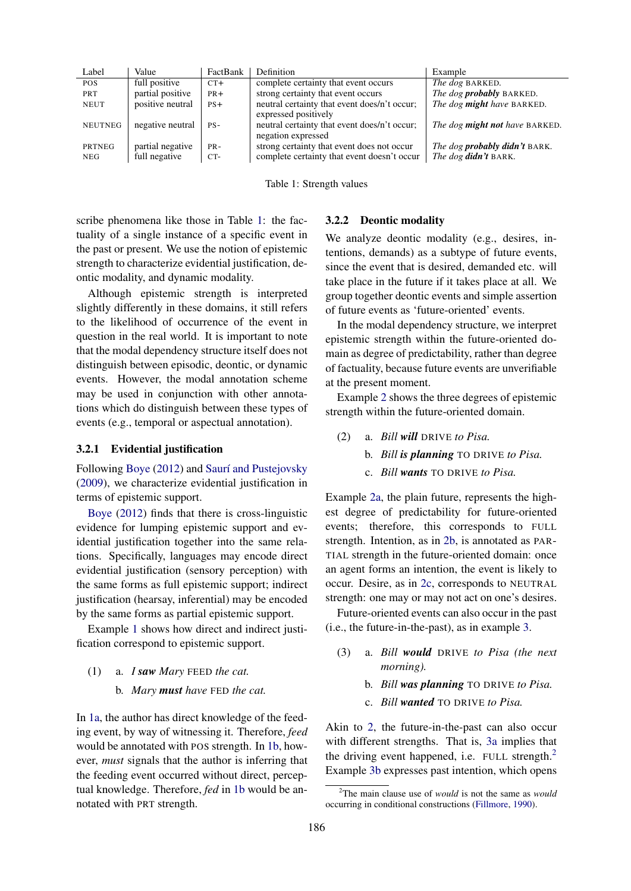<span id="page-4-2"></span>

| Label          | Value            | FactBank | Definition                                                           | Example                              |
|----------------|------------------|----------|----------------------------------------------------------------------|--------------------------------------|
| POS.           | full positive    | $CT+$    | complete certainty that event occurs                                 | <i>The dog BARKED.</i>               |
| <b>PRT</b>     | partial positive | $PR+$    | strong certainty that event occurs                                   | The dog <b>probably</b> BARKED.      |
| <b>NEUT</b>    | positive neutral | $PS+$    | neutral certainty that event does/n't occur;<br>expressed positively | The dog might have BARKED.           |
| <b>NEUTNEG</b> | negative neutral | $PS-$    | neutral certainty that event does/n't occur;<br>negation expressed   | The dog might not have BARKED.       |
| PRTNEG         | partial negative | $PR -$   | strong certainty that event does not occur                           | The dog <b>probably didn't</b> BARK. |
| NEG            | full negative    | $CT-$    | complete certainty that event doesn't occur                          | The dog didn't BARK.                 |
|                |                  |          |                                                                      |                                      |

Table 1: Strength values

scribe phenomena like those in Table [1:](#page-4-2) the factuality of a single instance of a specific event in the past or present. We use the notion of epistemic strength to characterize evidential justification, deontic modality, and dynamic modality.

Although epistemic strength is interpreted slightly differently in these domains, it still refers to the likelihood of occurrence of the event in question in the real world. It is important to note that the modal dependency structure itself does not distinguish between episodic, deontic, or dynamic events. However, the modal annotation scheme may be used in conjunction with other annotations which do distinguish between these types of events (e.g., temporal or aspectual annotation).

### <span id="page-4-1"></span>3.2.1 Evidential justification

Following [Boye](#page-9-17) [\(2012\)](#page-9-17) and Saurí and Pustejovsky [\(2009\)](#page-10-0), we characterize evidential justification in terms of epistemic support.

[Boye](#page-9-17) [\(2012\)](#page-9-17) finds that there is cross-linguistic evidence for lumping epistemic support and evidential justification together into the same relations. Specifically, languages may encode direct evidential justification (sensory perception) with the same forms as full epistemic support; indirect justification (hearsay, inferential) may be encoded by the same forms as partial epistemic support.

Example [1](#page-4-3) shows how direct and indirect justification correspond to epistemic support.

- <span id="page-4-4"></span><span id="page-4-3"></span>(1) a. *I saw Mary* FEED *the cat.*
	- b. *Mary must have* FED *the cat.*

In [1a,](#page-4-3) the author has direct knowledge of the feeding event, by way of witnessing it. Therefore, *feed* would be annotated with POS strength. In [1b,](#page-4-4) however, *must* signals that the author is inferring that the feeding event occurred without direct, perceptual knowledge. Therefore, *fed* in [1b](#page-4-4) would be annotated with PRT strength.

#### <span id="page-4-0"></span>3.2.2 Deontic modality

We analyze deontic modality (e.g., desires, intentions, demands) as a subtype of future events, since the event that is desired, demanded etc. will take place in the future if it takes place at all. We group together deontic events and simple assertion of future events as 'future-oriented' events.

In the modal dependency structure, we interpret epistemic strength within the future-oriented domain as degree of predictability, rather than degree of factuality, because future events are unverifiable at the present moment.

Example [2](#page-4-5) shows the three degrees of epistemic strength within the future-oriented domain.

- <span id="page-4-6"></span><span id="page-4-5"></span>(2) a. *Bill will* DRIVE *to Pisa.*
	- b. *Bill is planning* TO DRIVE *to Pisa.*
	- c. *Bill wants* TO DRIVE *to Pisa.*

<span id="page-4-7"></span>Example [2a,](#page-4-5) the plain future, represents the highest degree of predictability for future-oriented events; therefore, this corresponds to FULL strength. Intention, as in [2b,](#page-4-6) is annotated as PAR-TIAL strength in the future-oriented domain: once an agent forms an intention, the event is likely to occur. Desire, as in [2c,](#page-4-7) corresponds to NEUTRAL strength: one may or may not act on one's desires.

Future-oriented events can also occur in the past (i.e., the future-in-the-past), as in example [3.](#page-4-8)

- <span id="page-4-10"></span><span id="page-4-8"></span>(3) a. *Bill would* DRIVE *to Pisa (the next morning).*
	- b. *Bill was planning* TO DRIVE *to Pisa.*
	- c. *Bill wanted* TO DRIVE *to Pisa.*

<span id="page-4-11"></span>Akin to [2,](#page-4-5) the future-in-the-past can also occur with different strengths. That is, [3a](#page-4-8) implies that the driving event happened, i.e. FULL strength.<sup>2</sup> Example [3b](#page-4-10) expresses past intention, which opens

<span id="page-4-9"></span><sup>2</sup> The main clause use of *would* is not the same as *would* occurring in conditional constructions [\(Fillmore,](#page-9-18) [1990\)](#page-9-18).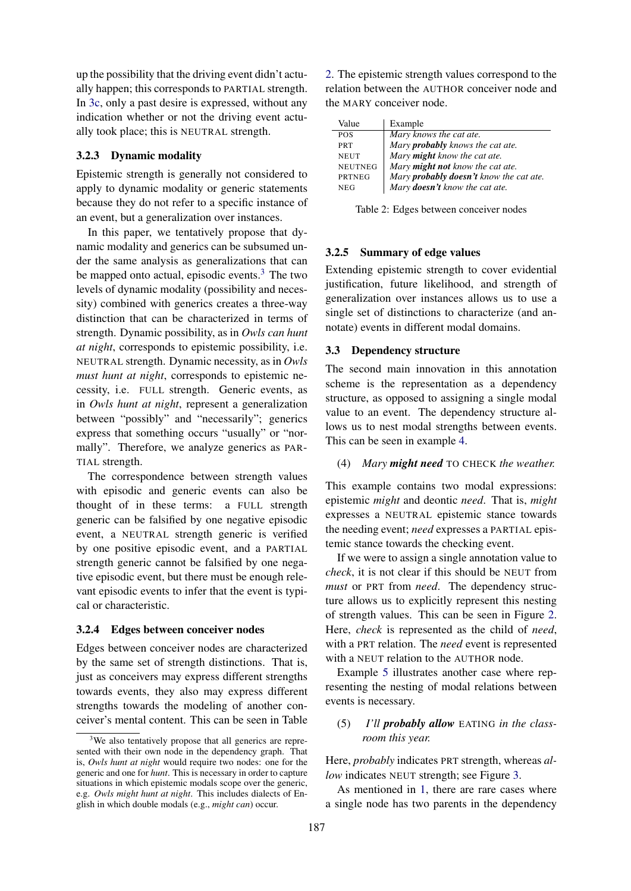up the possibility that the driving event didn't actually happen; this corresponds to PARTIAL strength. In [3c,](#page-4-11) only a past desire is expressed, without any indication whether or not the driving event actually took place; this is NEUTRAL strength.

# <span id="page-5-0"></span>3.2.3 Dynamic modality

Epistemic strength is generally not considered to apply to dynamic modality or generic statements because they do not refer to a specific instance of an event, but a generalization over instances.

In this paper, we tentatively propose that dynamic modality and generics can be subsumed under the same analysis as generalizations that can be mapped onto actual, episodic events.<sup>3</sup> The two levels of dynamic modality (possibility and necessity) combined with generics creates a three-way distinction that can be characterized in terms of strength. Dynamic possibility, as in *Owls can hunt at night*, corresponds to epistemic possibility, i.e. NEUTRAL strength. Dynamic necessity, as in *Owls must hunt at night*, corresponds to epistemic necessity, i.e. FULL strength. Generic events, as in *Owls hunt at night*, represent a generalization between "possibly" and "necessarily"; generics express that something occurs "usually" or "normally". Therefore, we analyze generics as PAR-TIAL strength.

The correspondence between strength values with episodic and generic events can also be thought of in these terms: a FULL strength generic can be falsified by one negative episodic event, a NEUTRAL strength generic is verified by one positive episodic event, and a PARTIAL strength generic cannot be falsified by one negative episodic event, but there must be enough relevant episodic events to infer that the event is typical or characteristic.

#### 3.2.4 Edges between conceiver nodes

Edges between conceiver nodes are characterized by the same set of strength distinctions. That is, just as conceivers may express different strengths towards events, they also may express different strengths towards the modeling of another conceiver's mental content. This can be seen in Table

[2.](#page-5-3) The epistemic strength values correspond to the relation between the AUTHOR conceiver node and the MARY conceiver node.

<span id="page-5-3"></span>

| Value          | Example                                 |
|----------------|-----------------------------------------|
| <b>POS</b>     | Mary knows the cat ate.                 |
| <b>PRT</b>     | Mary <b>probably</b> knows the cat ate. |
| <b>NEUT</b>    | Mary <b>might</b> know the cat ate.     |
| <b>NEUTNEG</b> | Mary might not know the cat ate.        |
| <b>PRTNEG</b>  | Mary probably doesn't know the cat ate. |
| <b>NEG</b>     | Mary doesn't know the cat ate.          |

Table 2: Edges between conceiver nodes

### 3.2.5 Summary of edge values

Extending epistemic strength to cover evidential justification, future likelihood, and strength of generalization over instances allows us to use a single set of distinctions to characterize (and annotate) events in different modal domains.

#### <span id="page-5-1"></span>3.3 Dependency structure

The second main innovation in this annotation scheme is the representation as a dependency structure, as opposed to assigning a single modal value to an event. The dependency structure allows us to nest modal strengths between events. This can be seen in example [4.](#page-5-4)

### <span id="page-5-4"></span>(4) *Mary might need* TO CHECK *the weather.*

This example contains two modal expressions: epistemic *might* and deontic *need*. That is, *might* expresses a NEUTRAL epistemic stance towards the needing event; *need* expresses a PARTIAL epistemic stance towards the checking event.

If we were to assign a single annotation value to *check*, it is not clear if this should be NEUT from *must* or PRT from *need*. The dependency structure allows us to explicitly represent this nesting of strength values. This can be seen in Figure [2.](#page-6-0) Here, *check* is represented as the child of *need*, with a PRT relation. The *need* event is represented with a NEUT relation to the AUTHOR node.

Example [5](#page-5-5) illustrates another case where representing the nesting of modal relations between events is necessary.

<span id="page-5-5"></span>(5) *I'll probably allow* EATING *in the classroom this year.*

Here, *probably* indicates PRT strength, whereas *allow* indicates NEUT strength; see Figure [3.](#page-6-1)

As mentioned in [1,](#page-0-1) there are rare cases where a single node has two parents in the dependency

<span id="page-5-2"></span><sup>&</sup>lt;sup>3</sup>We also tentatively propose that all generics are represented with their own node in the dependency graph. That is, *Owls hunt at night* would require two nodes: one for the generic and one for *hunt*. This is necessary in order to capture situations in which epistemic modals scope over the generic, e.g. *Owls might hunt at night*. This includes dialects of English in which double modals (e.g., *might can*) occur.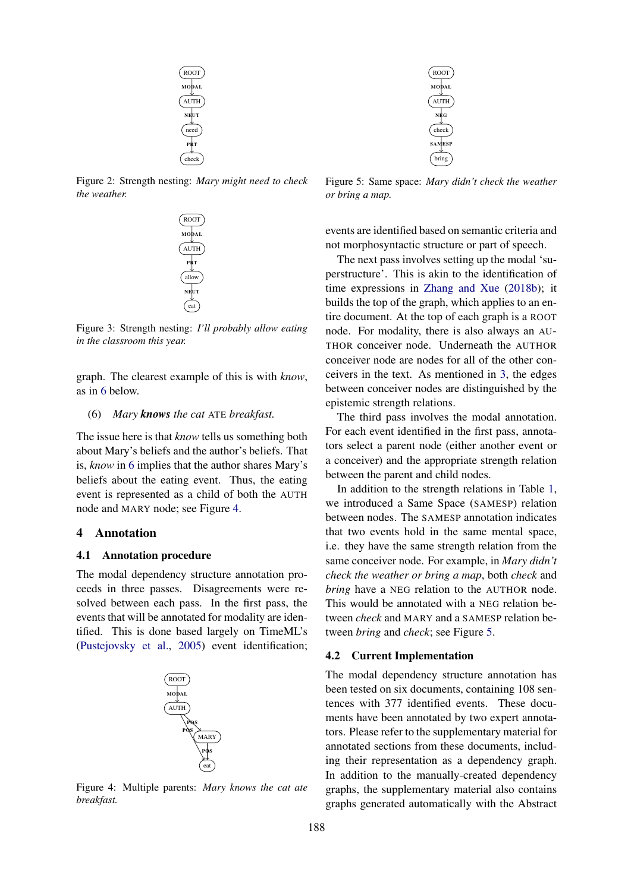<span id="page-6-0"></span>

<span id="page-6-1"></span>Figure 2: Strength nesting: *Mary might need to check the weather.*



Figure 3: Strength nesting: *I'll probably allow eating in the classroom this year.*

graph. The clearest example of this is with *know*, as in [6](#page-6-2) below.

#### <span id="page-6-2"></span>(6) *Mary knows the cat* ATE *breakfast.*

The issue here is that *know* tells us something both about Mary's beliefs and the author's beliefs. That is, *know* in [6](#page-6-2) implies that the author shares Mary's beliefs about the eating event. Thus, the eating event is represented as a child of both the AUTH node and MARY node; see Figure [4.](#page-6-3)

# 4 Annotation

#### 4.1 Annotation procedure

The modal dependency structure annotation proceeds in three passes. Disagreements were resolved between each pass. In the first pass, the events that will be annotated for modality are identified. This is done based largely on TimeML's [\(Pustejovsky et al.,](#page-9-16) [2005\)](#page-9-16) event identification;

<span id="page-6-3"></span>

Figure 4: Multiple parents: *Mary knows the cat ate breakfast.*

<span id="page-6-4"></span>

Figure 5: Same space: *Mary didn't check the weather or bring a map.*

events are identified based on semantic criteria and not morphosyntactic structure or part of speech.

The next pass involves setting up the modal 'superstructure'. This is akin to the identification of time expressions in [Zhang and Xue](#page-10-1) [\(2018b\)](#page-10-1); it builds the top of the graph, which applies to an entire document. At the top of each graph is a ROOT node. For modality, there is also always an AU-THOR conceiver node. Underneath the AUTHOR conceiver node are nodes for all of the other conceivers in the text. As mentioned in [3,](#page-2-2) the edges between conceiver nodes are distinguished by the epistemic strength relations.

The third pass involves the modal annotation. For each event identified in the first pass, annotators select a parent node (either another event or a conceiver) and the appropriate strength relation between the parent and child nodes.

In addition to the strength relations in Table [1,](#page-4-2) we introduced a Same Space (SAMESP) relation between nodes. The SAMESP annotation indicates that two events hold in the same mental space, i.e. they have the same strength relation from the same conceiver node. For example, in *Mary didn't check the weather or bring a map*, both *check* and *bring* have a NEG relation to the AUTHOR node. This would be annotated with a NEG relation between *check* and MARY and a SAMESP relation between *bring* and *check*; see Figure [5.](#page-6-4)

#### 4.2 Current Implementation

The modal dependency structure annotation has been tested on six documents, containing 108 sentences with 377 identified events. These documents have been annotated by two expert annotators. Please refer to the supplementary material for annotated sections from these documents, including their representation as a dependency graph. In addition to the manually-created dependency graphs, the supplementary material also contains graphs generated automatically with the Abstract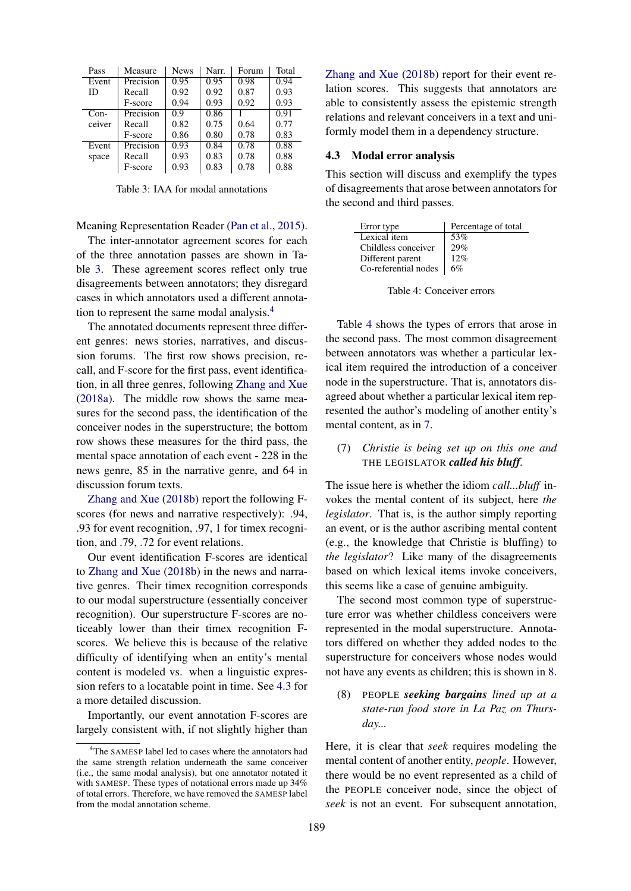<span id="page-7-0"></span>

| Pass   | Measure   | <b>News</b> | Narr. | Forum | Total |
|--------|-----------|-------------|-------|-------|-------|
| Event  | Precision | 0.95        | 0.95  | 0.98  | 0.94  |
| ID     | Recall    | 0.92        | 0.92  | 0.87  | 0.93  |
|        | F-score   | 0.94        | 0.93  | 0.92  | 0.93  |
| $Con-$ | Precision | 0.9         | 0.86  |       | 0.91  |
| ceiver | Recall    | 0.82        | 0.75  | 0.64  | 0.77  |
|        | F-score   | 0.86        | 0.80  | 0.78  | 0.83  |
| Event  | Precision | 0.93        | 0.84  | 0.78  | 0.88  |
| space  | Recall    | 0.93        | 0.83  | 0.78  | 0.88  |
|        | F-score   | 0.93        | 0.83  | 0.78  | 0.88  |

Table 3: IAA for modal annotations

Meaning Representation Reader [\(Pan et al.,](#page-9-19) [2015\)](#page-9-19).

The inter-annotator agreement scores for each of the three annotation passes are shown in Table [3.](#page-7-0) These agreement scores reflect only true disagreements between annotators; they disregard cases in which annotators used a different annotation to represent the same modal analysis[.4](#page-7-1)

The annotated documents represent three different genres: news stories, narratives, and discussion forums. The first row shows precision, recall, and F-score for the first pass, event identification, in all three genres, following [Zhang and Xue](#page-10-7) [\(2018a\)](#page-10-7). The middle row shows the same measures for the second pass, the identification of the conceiver nodes in the superstructure; the bottom row shows these measures for the third pass, the mental space annotation of each event - 228 in the news genre, 85 in the narrative genre, and 64 in discussion forum texts.

[Zhang and Xue](#page-10-1) [\(2018b\)](#page-10-1) report the following Fscores (for news and narrative respectively): .94, .93 for event recognition, .97, 1 for timex recognition, and .79, .72 for event relations.

Our event identification F-scores are identical to [Zhang and Xue](#page-10-1) [\(2018b\)](#page-10-1) in the news and narrative genres. Their timex recognition corresponds to our modal superstructure (essentially conceiver recognition). Our superstructure F-scores are noticeably lower than their timex recognition Fscores. We believe this is because of the relative difficulty of identifying when an entity's mental content is modeled vs. when a linguistic expression refers to a locatable point in time. See [4.3](#page-7-2) for a more detailed discussion.

Importantly, our event annotation F-scores are largely consistent with, if not slightly higher than [Zhang and Xue](#page-10-1) [\(2018b\)](#page-10-1) report for their event relation scores. This suggests that annotators are able to consistently assess the epistemic strength relations and relevant conceivers in a text and uniformly model them in a dependency structure.

## <span id="page-7-2"></span>4.3 Modal error analysis

This section will discuss and exemplify the types of disagreements that arose between annotators for the second and third passes.

<span id="page-7-3"></span>

| Error type           | Percentage of total |
|----------------------|---------------------|
| Lexical item         | 53%                 |
| Childless conceiver  | 29%                 |
| Different parent     | 12%                 |
| Co-referential nodes | 6%                  |

Table 4: Conceiver errors

Table [4](#page-7-3) shows the types of errors that arose in the second pass. The most common disagreement between annotators was whether a particular lexical item required the introduction of a conceiver node in the superstructure. That is, annotators disagreed about whether a particular lexical item represented the author's modeling of another entity's mental content, as in [7.](#page-7-4)

# <span id="page-7-4"></span>(7) *Christie is being set up on this one and* THE LEGISLATOR *called his bluff.*

The issue here is whether the idiom *call...bluff* invokes the mental content of its subject, here *the legislator*. That is, is the author simply reporting an event, or is the author ascribing mental content (e.g., the knowledge that Christie is bluffing) to *the legislator*? Like many of the disagreements based on which lexical items invoke conceivers, this seems like a case of genuine ambiguity.

The second most common type of superstructure error was whether childless conceivers were represented in the modal superstructure. Annotators differed on whether they added nodes to the superstructure for conceivers whose nodes would not have any events as children; this is shown in [8.](#page-7-5)

<span id="page-7-5"></span>(8) PEOPLE *seeking bargains lined up at a state-run food store in La Paz on Thursday...*

Here, it is clear that *seek* requires modeling the mental content of another entity, *people*. However, there would be no event represented as a child of the PEOPLE conceiver node, since the object of *seek* is not an event. For subsequent annotation,

<span id="page-7-1"></span><sup>&</sup>lt;sup>4</sup>The SAMESP label led to cases where the annotators had the same strength relation underneath the same conceiver (i.e., the same modal analysis), but one annotator notated it with SAMESP. These types of notational errors made up 34% of total errors. Therefore, we have removed the SAMESP label from the modal annotation scheme.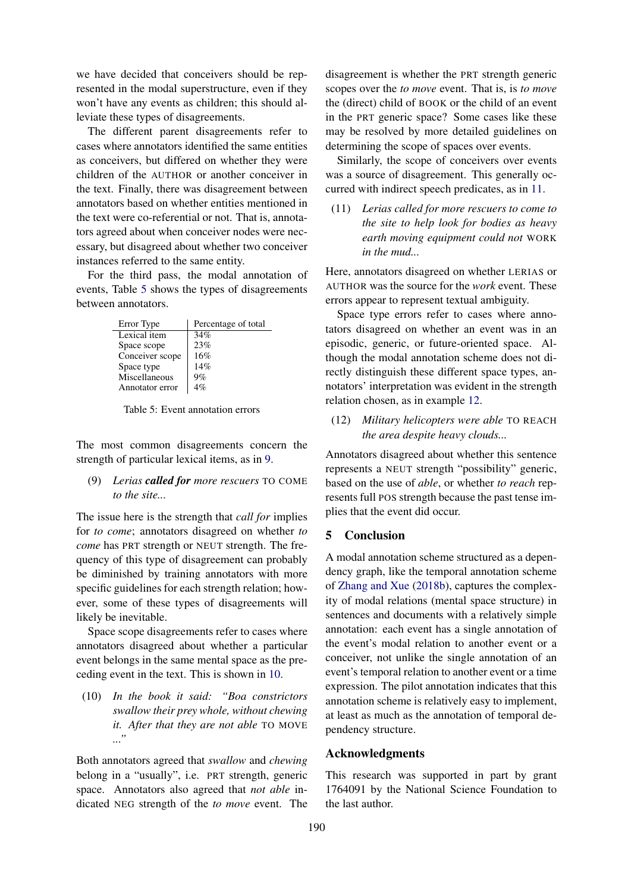we have decided that conceivers should be represented in the modal superstructure, even if they won't have any events as children; this should alleviate these types of disagreements.

The different parent disagreements refer to cases where annotators identified the same entities as conceivers, but differed on whether they were children of the AUTHOR or another conceiver in the text. Finally, there was disagreement between annotators based on whether entities mentioned in the text were co-referential or not. That is, annotators agreed about when conceiver nodes were necessary, but disagreed about whether two conceiver instances referred to the same entity.

For the third pass, the modal annotation of events, Table [5](#page-8-0) shows the types of disagreements between annotators.

<span id="page-8-0"></span>

| Error Type      | Percentage of total |
|-----------------|---------------------|
| Lexical item    | 34%                 |
| Space scope     | 23%                 |
| Conceiver scope | 16%                 |
| Space type      | 14%                 |
| Miscellaneous   | 9%                  |
| Annotator error | $4\%$               |

Table 5: Event annotation errors

The most common disagreements concern the strength of particular lexical items, as in [9.](#page-8-1)

<span id="page-8-1"></span>(9) *Lerias called for more rescuers* TO COME *to the site...*

The issue here is the strength that *call for* implies for *to come*; annotators disagreed on whether *to come* has PRT strength or NEUT strength. The frequency of this type of disagreement can probably be diminished by training annotators with more specific guidelines for each strength relation; however, some of these types of disagreements will likely be inevitable.

Space scope disagreements refer to cases where annotators disagreed about whether a particular event belongs in the same mental space as the preceding event in the text. This is shown in [10.](#page-8-2)

<span id="page-8-2"></span>(10) *In the book it said: "Boa constrictors swallow their prey whole, without chewing it. After that they are not able* TO MOVE *..."*

Both annotators agreed that *swallow* and *chewing* belong in a "usually", i.e. PRT strength, generic space. Annotators also agreed that *not able* indicated NEG strength of the *to move* event. The disagreement is whether the PRT strength generic scopes over the *to move* event. That is, is *to move* the (direct) child of BOOK or the child of an event in the PRT generic space? Some cases like these may be resolved by more detailed guidelines on determining the scope of spaces over events.

Similarly, the scope of conceivers over events was a source of disagreement. This generally occurred with indirect speech predicates, as in [11.](#page-8-3)

<span id="page-8-3"></span>(11) *Lerias called for more rescuers to come to the site to help look for bodies as heavy earth moving equipment could not* WORK *in the mud...*

Here, annotators disagreed on whether LERIAS or AUTHOR was the source for the *work* event. These errors appear to represent textual ambiguity.

Space type errors refer to cases where annotators disagreed on whether an event was in an episodic, generic, or future-oriented space. Although the modal annotation scheme does not directly distinguish these different space types, annotators' interpretation was evident in the strength relation chosen, as in example [12.](#page-8-4)

<span id="page-8-4"></span>(12) *Military helicopters were able* TO REACH *the area despite heavy clouds...*

Annotators disagreed about whether this sentence represents a NEUT strength "possibility" generic, based on the use of *able*, or whether *to reach* represents full POS strength because the past tense implies that the event did occur.

## 5 Conclusion

A modal annotation scheme structured as a dependency graph, like the temporal annotation scheme of [Zhang and Xue](#page-10-1) [\(2018b\)](#page-10-1), captures the complexity of modal relations (mental space structure) in sentences and documents with a relatively simple annotation: each event has a single annotation of the event's modal relation to another event or a conceiver, not unlike the single annotation of an event's temporal relation to another event or a time expression. The pilot annotation indicates that this annotation scheme is relatively easy to implement, at least as much as the annotation of temporal dependency structure.

# Acknowledgments

This research was supported in part by grant 1764091 by the National Science Foundation to the last author.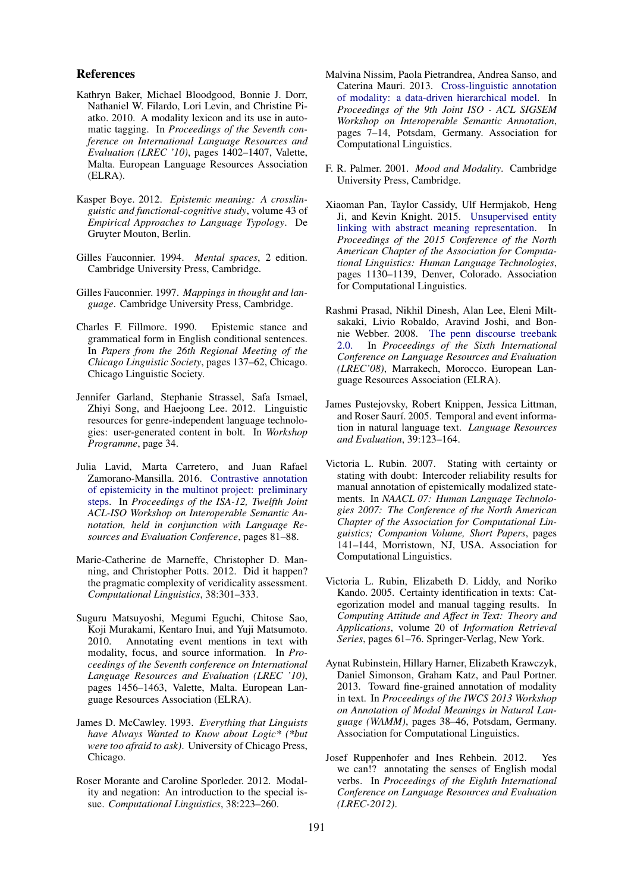### References

- <span id="page-9-7"></span>Kathryn Baker, Michael Bloodgood, Bonnie J. Dorr, Nathaniel W. Filardo, Lori Levin, and Christine Piatko. 2010. A modality lexicon and its use in automatic tagging. In *Proceedings of the Seventh conference on International Language Resources and Evaluation (LREC '10)*, pages 1402–1407, Valette, Malta. European Language Resources Association (ELRA).
- <span id="page-9-17"></span>Kasper Boye. 2012. *Epistemic meaning: A crosslinguistic and functional-cognitive study*, volume 43 of *Empirical Approaches to Language Typology*. De Gruyter Mouton, Berlin.
- <span id="page-9-1"></span>Gilles Fauconnier. 1994. *Mental spaces*, 2 edition. Cambridge University Press, Cambridge.
- <span id="page-9-2"></span>Gilles Fauconnier. 1997. *Mappings in thought and language*. Cambridge University Press, Cambridge.
- <span id="page-9-18"></span>Charles F. Fillmore. 1990. Epistemic stance and grammatical form in English conditional sentences. In *Papers from the 26th Regional Meeting of the Chicago Linguistic Society*, pages 137–62, Chicago. Chicago Linguistic Society.
- <span id="page-9-11"></span>Jennifer Garland, Stephanie Strassel, Safa Ismael, Zhiyi Song, and Haejoong Lee. 2012. Linguistic resources for genre-independent language technologies: user-generated content in bolt. In *Workshop Programme*, page 34.
- <span id="page-9-5"></span>Julia Lavid, Marta Carretero, and Juan Rafael Zamorano-Mansilla. 2016. [Contrastive annotation](https://www.aclweb.org/anthology/W01-1315) [of epistemicity in the multinot project: preliminary](https://www.aclweb.org/anthology/W01-1315) [steps.](https://www.aclweb.org/anthology/W01-1315) In *Proceedings of the ISA-12, Twelfth Joint ACL-ISO Workshop on Interoperable Semantic Annotation, held in conjunction with Language Resources and Evaluation Conference*, pages 81–88.
- <span id="page-9-10"></span>Marie-Catherine de Marneffe, Christopher D. Manning, and Christopher Potts. 2012. Did it happen? the pragmatic complexity of veridicality assessment. *Computational Linguistics*, 38:301–333.
- <span id="page-9-12"></span>Suguru Matsuyoshi, Megumi Eguchi, Chitose Sao, Koji Murakami, Kentaro Inui, and Yuji Matsumoto. 2010. Annotating event mentions in text with modality, focus, and source information. In *Proceedings of the Seventh conference on International Language Resources and Evaluation (LREC '10)*, pages 1456–1463, Valette, Malta. European Language Resources Association (ELRA).
- <span id="page-9-15"></span>James D. McCawley. 1993. *Everything that Linguists have Always Wanted to Know about Logic\* (\*but were too afraid to ask)*. University of Chicago Press, Chicago.
- <span id="page-9-3"></span>Roser Morante and Caroline Sporleder. 2012. Modality and negation: An introduction to the special issue. *Computational Linguistics*, 38:223–260.
- <span id="page-9-4"></span>Malvina Nissim, Paola Pietrandrea, Andrea Sanso, and Caterina Mauri. 2013. [Cross-linguistic annotation](https://www.aclweb.org/anthology/W13-0501) [of modality: a data-driven hierarchical model.](https://www.aclweb.org/anthology/W13-0501) In *Proceedings of the 9th Joint ISO - ACL SIGSEM Workshop on Interoperable Semantic Annotation*, pages 7–14, Potsdam, Germany. Association for Computational Linguistics.
- <span id="page-9-0"></span>F. R. Palmer. 2001. *Mood and Modality*. Cambridge University Press, Cambridge.
- <span id="page-9-19"></span>Xiaoman Pan, Taylor Cassidy, Ulf Hermjakob, Heng Ji, and Kevin Knight. 2015. [Unsupervised entity](https://doi.org/10.3115/v1/N15-1119) [linking with abstract meaning representation.](https://doi.org/10.3115/v1/N15-1119) In *Proceedings of the 2015 Conference of the North American Chapter of the Association for Computational Linguistics: Human Language Technologies*, pages 1130–1139, Denver, Colorado. Association for Computational Linguistics.
- <span id="page-9-6"></span>Rashmi Prasad, Nikhil Dinesh, Alan Lee, Eleni Miltsakaki, Livio Robaldo, Aravind Joshi, and Bon-nie Webber. 2008. [The penn discourse treebank](http://www.lrec-conf.org/proceedings/lrec2008/)<br>2.0. In *Proceedings* of the Sixth International [2.0.](http://www.lrec-conf.org/proceedings/lrec2008/) In *Proceedings of the Sixth International Conference on Language Resources and Evaluation (LREC'08)*, Marrakech, Morocco. European Language Resources Association (ELRA).
- <span id="page-9-16"></span>James Pustejovsky, Robert Knippen, Jessica Littman, and Roser Saurí. 2005. Temporal and event information in natural language text. *Language Resources and Evaluation*, 39:123–164.
- <span id="page-9-9"></span>Victoria L. Rubin. 2007. Stating with certainty or stating with doubt: Intercoder reliability results for manual annotation of epistemically modalized statements. In *NAACL 07: Human Language Technologies 2007: The Conference of the North American Chapter of the Association for Computational Linguistics; Companion Volume, Short Papers*, pages 141–144, Morristown, NJ, USA. Association for Computational Linguistics.
- <span id="page-9-8"></span>Victoria L. Rubin, Elizabeth D. Liddy, and Noriko Kando. 2005. Certainty identification in texts: Categorization model and manual tagging results. In *Computing Attitude and Affect in Text: Theory and Applications*, volume 20 of *Information Retrieval Series*, pages 61–76. Springer-Verlag, New York.
- <span id="page-9-14"></span>Aynat Rubinstein, Hillary Harner, Elizabeth Krawczyk, Daniel Simonson, Graham Katz, and Paul Portner. 2013. Toward fine-grained annotation of modality in text. In *Proceedings of the IWCS 2013 Workshop on Annotation of Modal Meanings in Natural Language (WAMM)*, pages 38–46, Potsdam, Germany. Association for Computational Linguistics.
- <span id="page-9-13"></span>Josef Ruppenhofer and Ines Rehbein. 2012. Yes we can!? annotating the senses of English modal verbs. In *Proceedings of the Eighth International Conference on Language Resources and Evaluation (LREC-2012)*.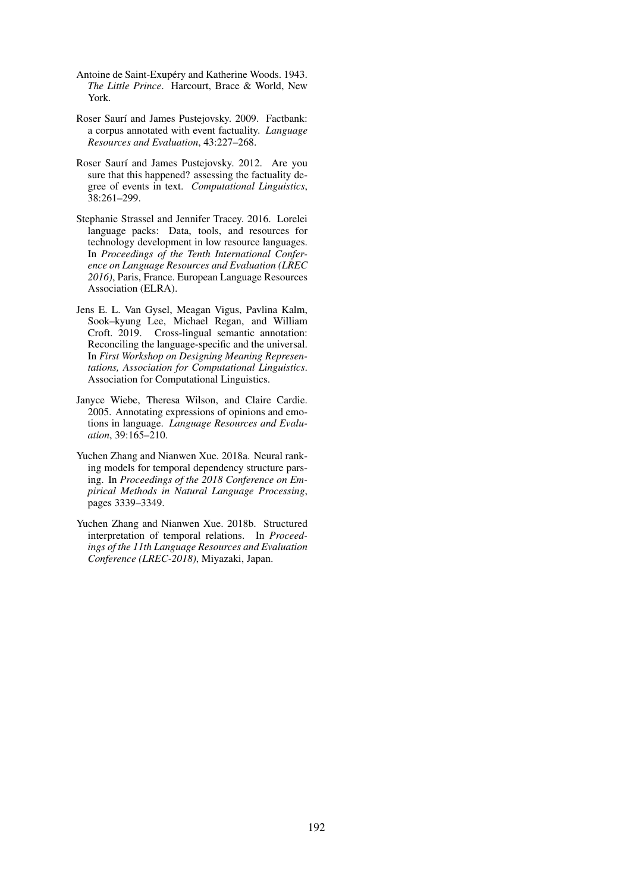- <span id="page-10-6"></span>Antoine de Saint-Exupéry and Katherine Woods. 1943. *The Little Prince*. Harcourt, Brace & World, New York.
- <span id="page-10-0"></span>Roser Saurí and James Pustejovsky. 2009. Factbank: a corpus annotated with event factuality. *Language Resources and Evaluation*, 43:227–268.
- <span id="page-10-3"></span>Roser Saurí and James Pustejovsky. 2012. Are you sure that this happened? assessing the factuality degree of events in text. *Computational Linguistics*, 38:261–299.
- <span id="page-10-5"></span>Stephanie Strassel and Jennifer Tracey. 2016. Lorelei language packs: Data, tools, and resources for technology development in low resource languages. In *Proceedings of the Tenth International Conference on Language Resources and Evaluation (LREC 2016)*, Paris, France. European Language Resources Association (ELRA).
- <span id="page-10-2"></span>Jens E. L. Van Gysel, Meagan Vigus, Pavlina Kalm, Sook–kyung Lee, Michael Regan, and William Croft. 2019. Cross-lingual semantic annotation: Reconciling the language-specific and the universal. In *First Workshop on Designing Meaning Representations, Association for Computational Linguistics*. Association for Computational Linguistics.
- <span id="page-10-4"></span>Janyce Wiebe, Theresa Wilson, and Claire Cardie. 2005. Annotating expressions of opinions and emotions in language. *Language Resources and Evaluation*, 39:165–210.
- <span id="page-10-7"></span>Yuchen Zhang and Nianwen Xue. 2018a. Neural ranking models for temporal dependency structure parsing. In *Proceedings of the 2018 Conference on Empirical Methods in Natural Language Processing*, pages 3339–3349.
- <span id="page-10-1"></span>Yuchen Zhang and Nianwen Xue. 2018b. Structured interpretation of temporal relations. In *Proceedings of the 11th Language Resources and Evaluation Conference (LREC-2018)*, Miyazaki, Japan.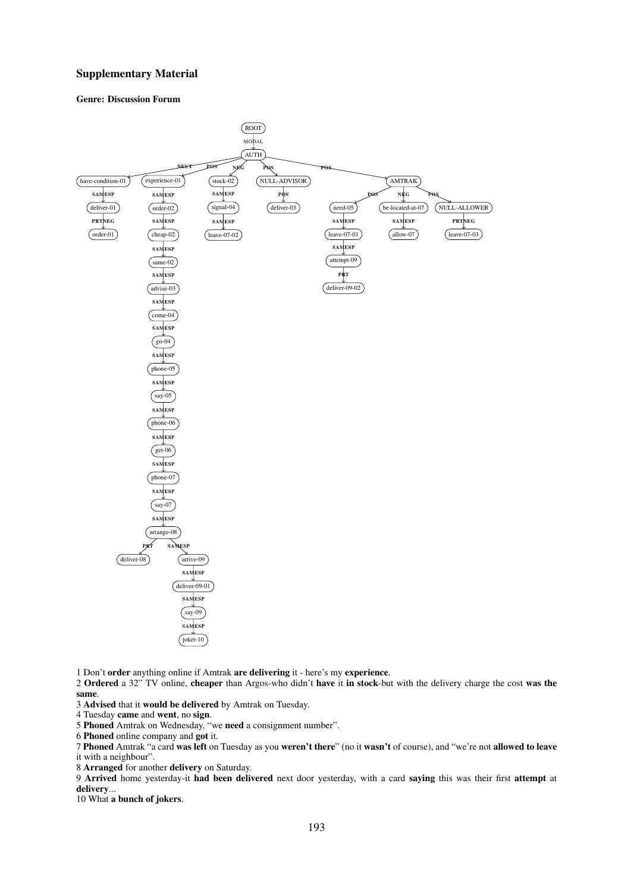#### Supplementary Material

#### Genre: Discussion Forum



1 Don't order anything online if Amtrak are delivering it - here's my experience.

2 Ordered a 32" TV online, cheaper than Argos-who didn't have it in stock-but with the delivery charge the cost was the same.

3 Advised that it would be delivered by Amtrak on Tuesday.

4 Tuesday came and went, no sign.

5 Phoned Amtrak on Wednesday, "we need a consignment number".

6 Phoned online company and got it.

7 Phoned Amtrak "a card was left on Tuesday as you weren't there" (no it wasn't of course), and "we're not allowed to leave it with a neighbour".

8 Arranged for another delivery on Saturday.

9 Arrived home yesterday-it had been delivered next door yesterday, with a card saying this was their first attempt at delivery...

10 What a bunch of jokers.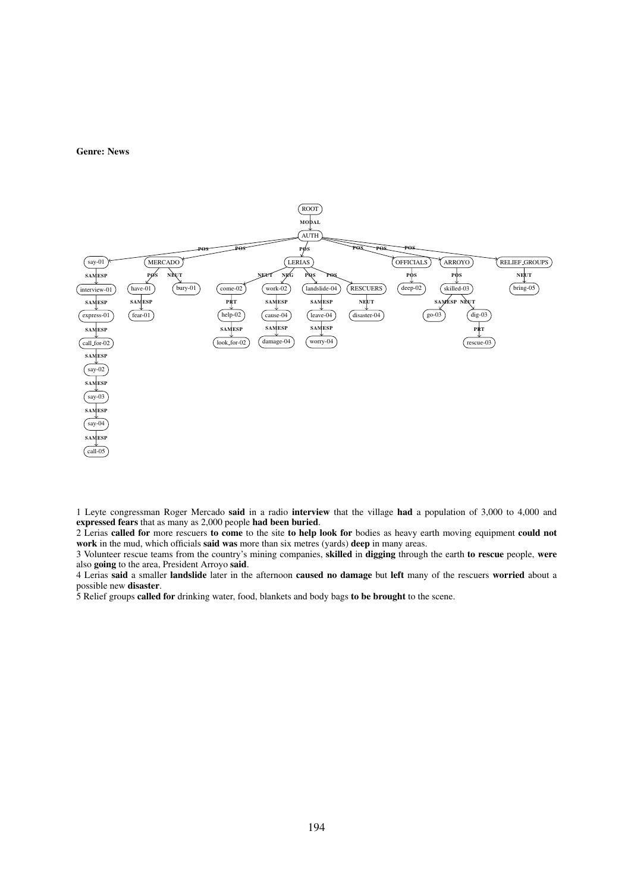#### Genre: News



1 Leyte congressman Roger Mercado said in a radio interview that the village had a population of 3,000 to 4,000 and expressed fears that as many as 2,000 people had been buried.

2 Lerias called for more rescuers to come to the site to help look for bodies as heavy earth moving equipment could not work in the mud, which officials said was more than six metres (yards) deep in many areas.

3 Volunteer rescue teams from the country's mining companies, skilled in digging through the earth to rescue people, were also going to the area, President Arroyo said.

4 Lerias said a smaller landslide later in the afternoon caused no damage but left many of the rescuers worried about a possible new disaster.

5 Relief groups called for drinking water, food, blankets and body bags to be brought to the scene.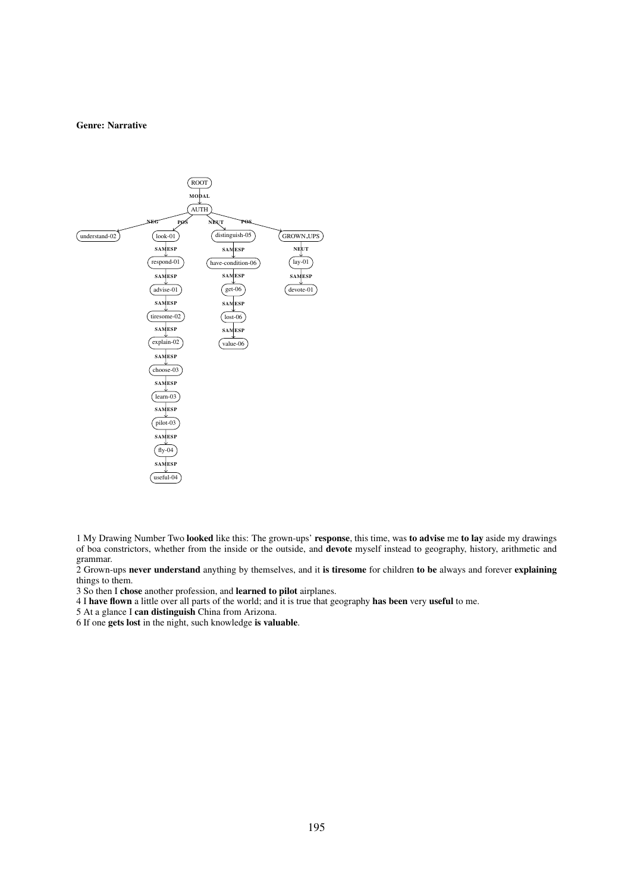#### Genre: Narrative



1 My Drawing Number Two looked like this: The grown-ups' response, this time, was to advise me to lay aside my drawings of boa constrictors, whether from the inside or the outside, and devote myself instead to geography, history, arithmetic and grammar.

2 Grown-ups never understand anything by themselves, and it is tiresome for children to be always and forever explaining things to them.

3 So then I chose another profession, and learned to pilot airplanes.

4 I have flown a little over all parts of the world; and it is true that geography has been very useful to me.

5 At a glance I can distinguish China from Arizona.

6 If one gets lost in the night, such knowledge is valuable.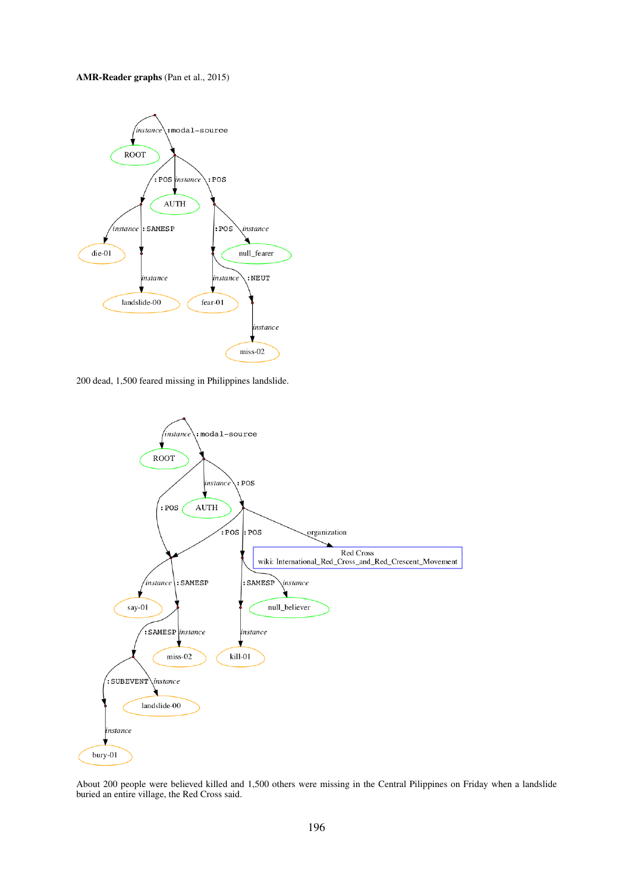### AMR-Reader graphs (Pan et al., 2015)



200 dead, 1,500 feared missing in Philippines landslide.



About 200 people were believed killed and 1,500 others were missing in the Central Pilippines on Friday when a landslide buried an entire village, the Red Cross said.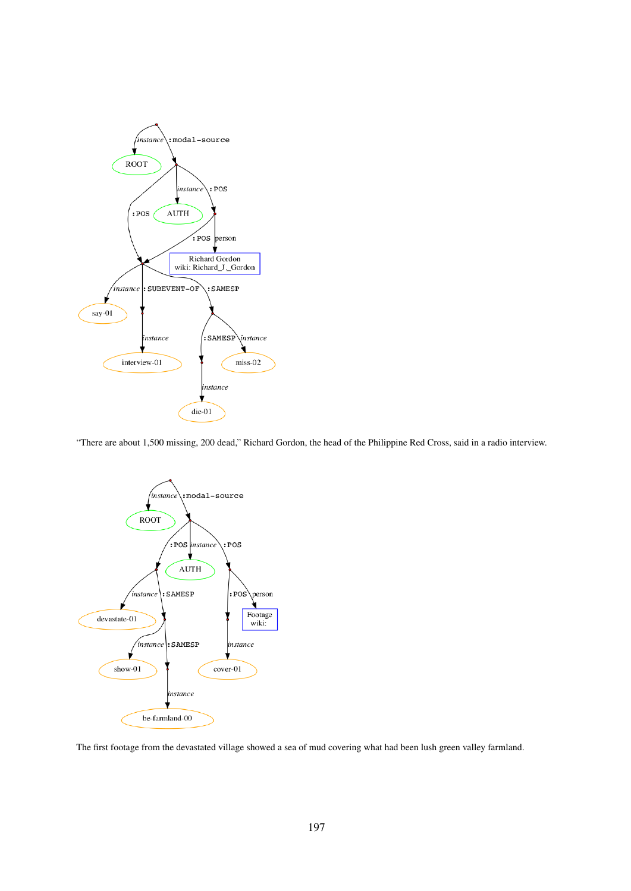

"There are about 1,500 missing, 200 dead," Richard Gordon, the head of the Philippine Red Cross, said in a radio interview.



The first footage from the devastated village showed a sea of mud covering what had been lush green valley farmland.